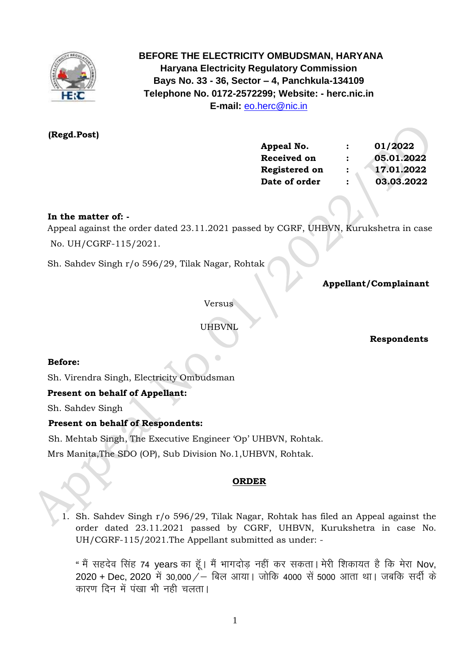

 **BEFORE THE ELECTRICITY OMBUDSMAN, HARYANA Haryana Electricity Regulatory Commission Bays No. 33 - 36, Sector – 4, Panchkula-134109 Telephone No. 0172-2572299; Website: - herc.nic.in E-mail:** [eo.herc@nic.in](mailto:eo.herc@nic.in)

# **(Regd.Post)**

| Appeal No.         | $\ddot{\cdot}$       | 01/2022    |
|--------------------|----------------------|------------|
| <b>Received on</b> | $\ddot{\cdot}$       | 05.01.2022 |
| Registered on      | $\ddot{\phantom{a}}$ | 17.01.2022 |
| Date of order      | $\ddot{\cdot}$       | 03.03.2022 |

## **In the matter of: -**

 Appeal against the order dated 23.11.2021 passed by CGRF, UHBVN, Kurukshetra in case No. UH/CGRF-115/2021.

Sh. Sahdev Singh r/o 596/29, Tilak Nagar, Rohtak

 **Appellant/Complainant** 

Versus

UHBVNL

 **Respondents**

### **Before:**

Sh. Virendra Singh, Electricity Ombudsman

# **Present on behalf of Appellant:**

Sh. Sahdev Singh

## **Present on behalf of Respondents:**

Sh. Mehtab Singh, The Executive Engineer 'Op' UHBVN, Rohtak.

Mrs Manita,The SDO (OP), Sub Division No.1,UHBVN, Rohtak.

### **ORDER**

1. Sh. Sahdev Singh r/o 596/29, Tilak Nagar, Rohtak has filed an Appeal against the order dated 23.11.2021 passed by CGRF, UHBVN, Kurukshetra in case No. UH/CGRF-115/2021.The Appellant submitted as under: -

" मैं सहदेव सिंह 74 years का हूँ। मैं भागदोड़ नहीं कर सकता। मेरी शिकायत है कि मेरा Nov, 2020 + Dec, 2020 में 30,000 / – बिल आया। जोकि 4000 सें 5000 आता था। जबकि सर्दी के कारण दिन में पंखा भी नही चलता।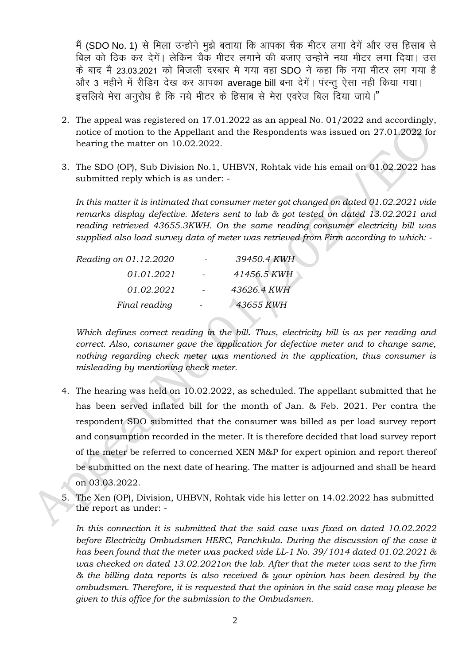मैं (SDO No. 1) से मिला उन्होने मुझे बताया कि आपका चैक मीटर लगा देगें और उस हिसाब से बिल को ठिक कर देगें। लेकिन चैक मीटर लगाने की बजाए उन्होने नया मीटर लगा दिया। उस के बाद मै 23.03.2021 को बिजली दरबार मे गया वहा SDO ने कहा कि नया मीटर लग गया है और 3 महीने में रीडिंग देख कर आपका average bill बना देगें। परन्तु ऐसा नहीं किया गया। इसलिये मेरा अनुरोध है कि नये मीटर के हिसाब से मेरा एवरेज बिल दिया जाये।"

- 2. The appeal was registered on 17.01.2022 as an appeal No. 01/2022 and accordingly, notice of motion to the Appellant and the Respondents was issued on 27.01.2022 for hearing the matter on 10.02.2022.
- 3. The SDO (OP), Sub Division No.1, UHBVN, Rohtak vide his email on 01.02.2022 has submitted reply which is as under: -

*In this matter it is intimated that consumer meter got changed on dated 01.02.2021 vide remarks display defective. Meters sent to lab & got tested on dated 13.02.2021 and reading retrieved 43655.3KWH. On the same reading consumer electricity bill was supplied also load survey data of meter was retrieved from Firm according to which: -*

| Reading on 01.12.2020 | 39450.4 KWH |
|-----------------------|-------------|
| 01.01.2021            | 41456.5 KWH |
| 01.02.2021            | 43626.4 KWH |
| Final reading         | 43655 KWH   |

*Which defines correct reading in the bill. Thus, electricity bill is as per reading and correct. Also, consumer gave the application for defective meter and to change same, nothing regarding check meter was mentioned in the application, thus consumer is misleading by mentioning check meter.*

- 4. The hearing was held on 10.02.2022, as scheduled. The appellant submitted that he has been served inflated bill for the month of Jan. & Feb. 2021. Per contra the respondent SDO submitted that the consumer was billed as per load survey report and consumption recorded in the meter. It is therefore decided that load survey report of the meter be referred to concerned XEN M&P for expert opinion and report thereof be submitted on the next date of hearing. The matter is adjourned and shall be heard on 03.03.2022.
- 5. The Xen (OP), Division, UHBVN, Rohtak vide his letter on 14.02.2022 has submitted the report as under: -

*In this connection it is submitted that the said case was fixed on dated 10.02.2022 before Electricity Ombudsmen HERC, Panchkula. During the discussion of the case it has been found that the meter was packed vide LL-1 No. 39/1014 dated 01.02.2021 & was checked on dated 13.02.2021on the lab. After that the meter was sent to the firm & the billing data reports is also received & your opinion has been desired by the ombudsmen. Therefore, it is requested that the opinion in the said case may please be given to this office for the submission to the Ombudsmen.*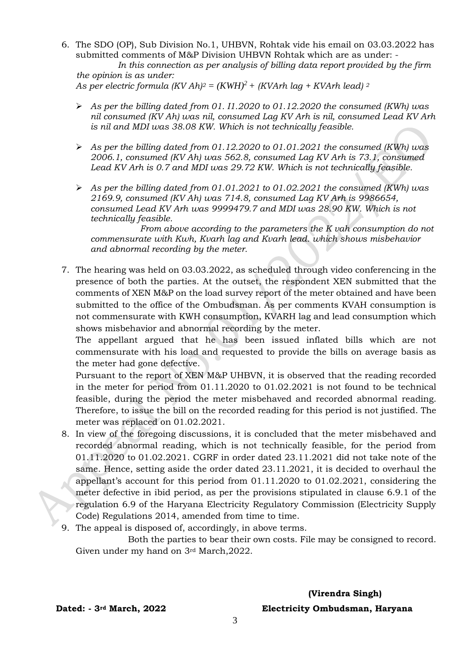6. The SDO (OP), Sub Division No.1, UHBVN, Rohtak vide his email on 03.03.2022 has submitted comments of M&P Division UHBVN Rohtak which are as under: -

 *In this connection as per analysis of billing data report provided by the firm the opinion is as under:*

As per electric formula  $(KV Ah)^2 = (KWH)^2 + (KVArh \text{ lag} + KVArh \text{ lead})^2$ 

- ➢ *As per the billing dated from 01. I1.2020 to 01.12.2020 the consumed (KWh) was nil consumed (KV Ah) was nil, consumed Lag KV Arh is nil, consumed Lead KV Arh is nil and MDI was 38.08 KW. Which is not technically feasible.*
- ➢ *As per the billing dated from 01.12.2020 to 01.01.2021 the consumed (KWh) was 2006.1, consumed (KV Ah) was 562.8, consumed Lag KV Arh is 73.1, consumed Lead KV Arh is 0.7 and MDI was 29.72 KW. Which is not technically feasible.*
- ➢ *As per the billing dated from 01.01.2021 to 01.02.2021 the consumed (KWh) was 2169.9, consumed (KV Ah) was 714.8, consumed Lag KV Arh is 9986654, consumed Lead KV Arh was 9999479.7 and MDI was 28.90 KW. Which is not technically feasible.*

 *From above according to the parameters the K vah consumption do not commensurate with Kwh, Kvarh lag and Kvarh lead. which shows misbehavior and abnormal recording by the meter.*

7. The hearing was held on 03.03.2022, as scheduled through video conferencing in the presence of both the parties. At the outset, the respondent XEN submitted that the comments of XEN M&P on the load survey report of the meter obtained and have been submitted to the office of the Ombudsman. As per comments KVAH consumption is not commensurate with KWH consumption, KVARH lag and lead consumption which shows misbehavior and abnormal recording by the meter.

The appellant argued that he has been issued inflated bills which are not commensurate with his load and requested to provide the bills on average basis as the meter had gone defective.

Pursuant to the report of XEN M&P UHBVN, it is observed that the reading recorded in the meter for period from 01.11.2020 to 01.02.2021 is not found to be technical feasible, during the period the meter misbehaved and recorded abnormal reading. Therefore, to issue the bill on the recorded reading for this period is not justified. The meter was replaced on 01.02.2021.

- 8. In view of the foregoing discussions, it is concluded that the meter misbehaved and recorded abnormal reading, which is not technically feasible, for the period from 01.11.2020 to 01.02.2021. CGRF in order dated 23.11.2021 did not take note of the same. Hence, setting aside the order dated 23.11.2021, it is decided to overhaul the appellant's account for this period from 01.11.2020 to 01.02.2021, considering the meter defective in ibid period, as per the provisions stipulated in clause 6.9.1 of the regulation 6.9 of the Haryana Electricity Regulatory Commission (Electricity Supply Code) Regulations 2014, amended from time to time.
- 9. The appeal is disposed of, accordingly, in above terms.

 Both the parties to bear their own costs. File may be consigned to record. Given under my hand on 3rd March,2022.

 **(Virendra Singh) Dated: - 3rd March, 2022 Electricity Ombudsman, Haryana**